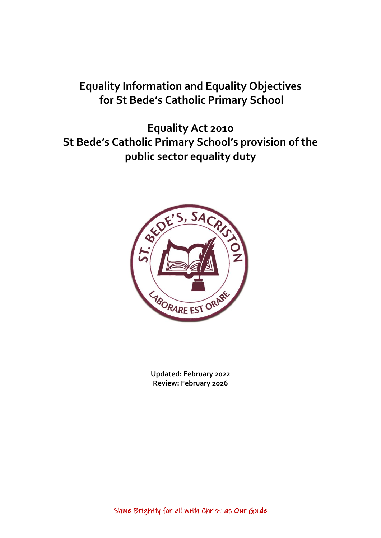# **Equality Information and Equality Objectives for St Bede's Catholic Primary School**

**Equality Act 2010 St Bede's Catholic Primary School's provision of the public sector equality duty**



**Updated: February 2022 Review: February 2026**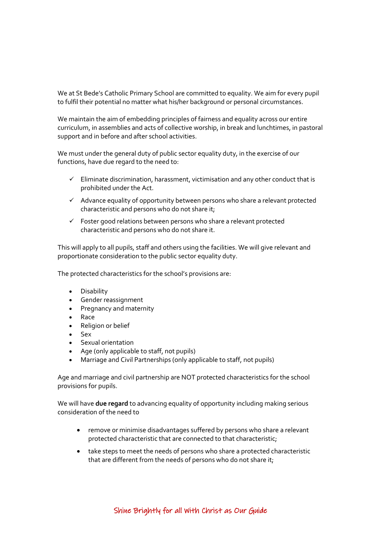We at St Bede's Catholic Primary School are committed to equality. We aim for every pupil to fulfil their potential no matter what his/her background or personal circumstances.

We maintain the aim of embedding principles of fairness and equality across our entire curriculum, in assemblies and acts of collective worship, in break and lunchtimes, in pastoral support and in before and after school activities.

We must under the general duty of public sector equality duty, in the exercise of our functions, have due regard to the need to:

- $\checkmark$  Eliminate discrimination, harassment, victimisation and any other conduct that is prohibited under the Act.
- $\checkmark$  Advance equality of opportunity between persons who share a relevant protected characteristic and persons who do not share it;
- $\checkmark$  Foster good relations between persons who share a relevant protected characteristic and persons who do not share it.

This will apply to all pupils, staff and others using the facilities. We will give relevant and proportionate consideration to the public sector equality duty.

The protected characteristics for the school's provisions are:

- **•** Disability
- Gender reassignment
- Pregnancy and maternity
- Race
- Religion or belief
- $S_{\text{ex}}$
- Sexual orientation
- Age (only applicable to staff, not pupils)
- Marriage and Civil Partnerships (only applicable to staff, not pupils)

Age and marriage and civil partnership are NOT protected characteristics for the school provisions for pupils.

We will have **due regard** to advancing equality of opportunity including making serious consideration of the need to

- remove or minimise disadvantages suffered by persons who share a relevant protected characteristic that are connected to that characteristic;
- take steps to meet the needs of persons who share a protected characteristic that are different from the needs of persons who do not share it;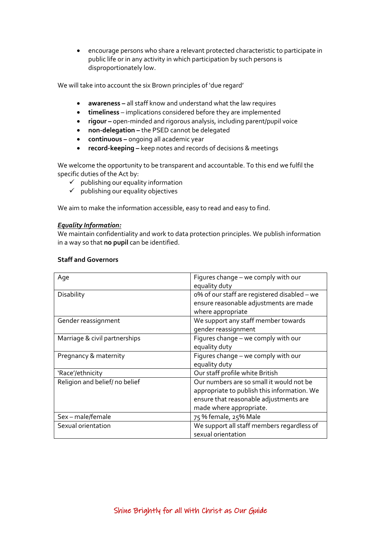encourage persons who share a relevant protected characteristic to participate in public life or in any activity in which participation by such persons is disproportionately low.

We will take into account the six Brown principles of 'due regard'

- **awareness –** all staff know and understand what the law requires
- **timeliness**  implications considered before they are implemented
- **rigour –** open-minded and rigorous analysis, including parent/pupil voice
- **•** non-delegation the PSED cannot be delegated
- **continuous –** ongoing all academic year
- **record-keeping –** keep notes and records of decisions & meetings

We welcome the opportunity to be transparent and accountable. To this end we fulfil the specific duties of the Act by:

- $\checkmark$  publishing our equality information
- $\checkmark$  publishing our equality objectives

We aim to make the information accessible, easy to read and easy to find.

#### *Equality Information:*

We maintain confidentiality and work to data protection principles. We publish information in a way so that **no pupil** can be identified.

| Age                           | Figures change - we comply with our<br>equality duty                                                                                                         |
|-------------------------------|--------------------------------------------------------------------------------------------------------------------------------------------------------------|
| Disability                    | o% of our staff are registered disabled - we<br>ensure reasonable adjustments are made<br>where appropriate                                                  |
| Gender reassignment           | We support any staff member towards<br>gender reassignment                                                                                                   |
| Marriage & civil partnerships | Figures change - we comply with our<br>equality duty                                                                                                         |
| Pregnancy & maternity         | Figures change - we comply with our<br>equality duty                                                                                                         |
| 'Race'/ethnicity              | Our staff profile white British                                                                                                                              |
| Religion and belief/no belief | Our numbers are so small it would not be<br>appropriate to publish this information. We<br>ensure that reasonable adjustments are<br>made where appropriate. |
| Sex-male/female               | 75 % female, 25% Male                                                                                                                                        |
| Sexual orientation            | We support all staff members regardless of<br>sexual orientation                                                                                             |

### **Staff and Governors**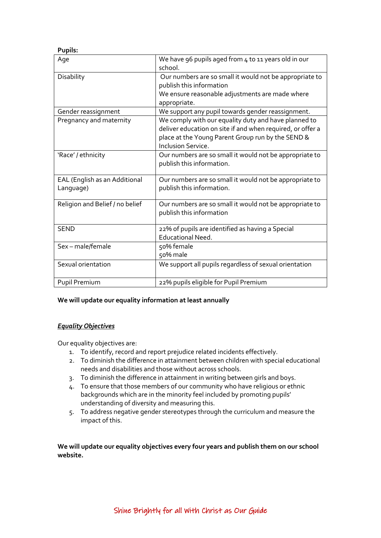#### **Pupils:**

| Age                                        | We have 96 pupils aged from 4 to 11 years old in our<br>school.                                                                                                                                      |
|--------------------------------------------|------------------------------------------------------------------------------------------------------------------------------------------------------------------------------------------------------|
| Disability                                 | Our numbers are so small it would not be appropriate to<br>publish this information<br>We ensure reasonable adjustments are made where<br>appropriate.                                               |
| Gender reassignment                        | We support any pupil towards gender reassignment.                                                                                                                                                    |
| Pregnancy and maternity                    | We comply with our equality duty and have planned to<br>deliver education on site if and when required, or offer a<br>place at the Young Parent Group run by the SEND &<br><b>Inclusion Service.</b> |
| 'Race' / ethnicity                         | Our numbers are so small it would not be appropriate to<br>publish this information.                                                                                                                 |
| EAL (English as an Additional<br>Language) | Our numbers are so small it would not be appropriate to<br>publish this information.                                                                                                                 |
| Religion and Belief / no belief            | Our numbers are so small it would not be appropriate to<br>publish this information                                                                                                                  |
| <b>SEND</b>                                | 22% of pupils are identified as having a Special<br>Educational Need.                                                                                                                                |
| Sex-male/female                            | 50% female<br>50% male                                                                                                                                                                               |
| Sexual orientation                         | We support all pupils regardless of sexual orientation                                                                                                                                               |
| Pupil Premium                              | 22% pupils eligible for Pupil Premium                                                                                                                                                                |

## **We will update our equality information at least annually**

## *Equality Objectives*

Our equality objectives are:

- 1. To identify, record and report prejudice related incidents effectively.
- 2. To diminish the difference in attainment between children with special educational needs and disabilities and those without across schools.
- 3. To diminish the difference in attainment in writing between girls and boys.
- 4. To ensure that those members of our community who have religious or ethnic backgrounds which are in the minority feel included by promoting pupils' understanding of diversity and measuring this.
- 5. To address negative gender stereotypes through the curriculum and measure the impact of this.

**We will update our equality objectives every four years and publish them on our school website.**